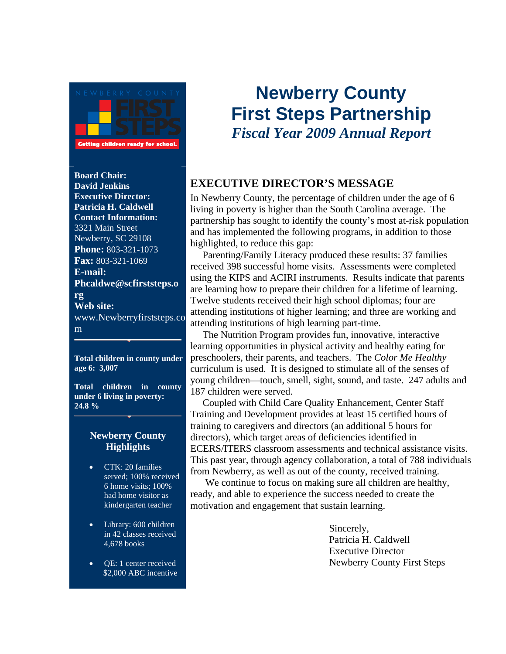

**Getting children ready for school** 

**Board Chair: David Jenkins Executive Director: Patricia H. Caldwell Contact Information:**  3321 Main Street Newberry, SC 29108 **Phone:** 803-321-1073 **Fax:** 803-321-1069 **E-mail: Phcaldwe@scfirststeps.o rg Web site:**  www.Newberryfirststeps.co m

**Total children in county under age 6: 3,007**

**Total children in county under 6 living in poverty: 24.8 %** 

#### **Newberry County Highlights**

- CTK: 20 families served; 100% received 6 home visits; 100% had home visitor as kindergarten teacher
- Library: 600 children in 42 classes received 4,678 books
- **QE:** 1 center received \$2,000 ABC incentive

# **Newberry County First Steps Partnership**  *Fiscal Year 2009 Annual Report*

## **EXECUTIVE DIRECTOR'S MESSAGE**

In Newberry County, the percentage of children under the age of 6 living in poverty is higher than the South Carolina average. The partnership has sought to identify the county's most at-risk population and has implemented the following programs, in addition to those highlighted, to reduce this gap:

 Parenting/Family Literacy produced these results: 37 families received 398 successful home visits. Assessments were completed using the KIPS and ACIRI instruments. Results indicate that parents are learning how to prepare their children for a lifetime of learning. Twelve students received their high school diplomas; four are attending institutions of higher learning; and three are working and attending institutions of high learning part-time.

 The Nutrition Program provides fun, innovative, interactive learning opportunities in physical activity and healthy eating for preschoolers, their parents, and teachers. The *Color Me Healthy* curriculum is used. It is designed to stimulate all of the senses of young children—touch, smell, sight, sound, and taste. 247 adults and 187 children were served.

 Coupled with Child Care Quality Enhancement, Center Staff Training and Development provides at least 15 certified hours of training to caregivers and directors (an additional 5 hours for directors), which target areas of deficiencies identified in ECERS/ITERS classroom assessments and technical assistance visits. This past year, through agency collaboration, a total of 788 individuals from Newberry, as well as out of the county, received training.

We continue to focus on making sure all children are healthy, ready, and able to experience the success needed to create the motivation and engagement that sustain learning.

> Sincerely, Patricia H. Caldwell Executive Director Newberry County First Steps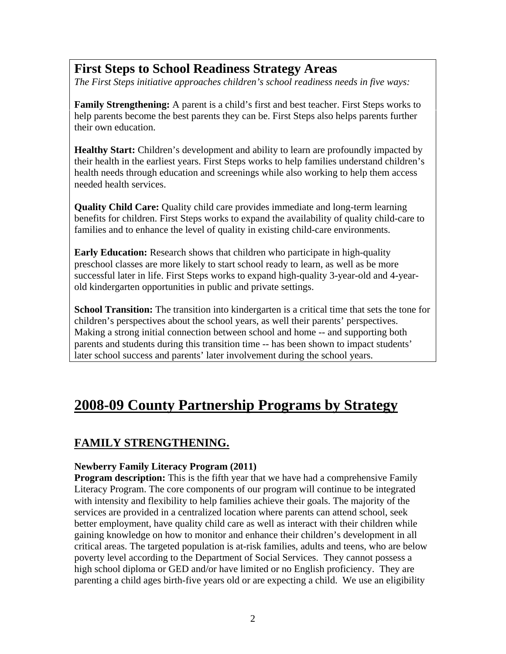## **First Steps to School Readiness Strategy Areas**

*The First Steps initiative approaches children's school readiness needs in five ways:* 

**Family Strengthening:** A parent is a child's first and best teacher. First Steps works to help parents become the best parents they can be. First Steps also helps parents further their own education.

**Healthy Start:** Children's development and ability to learn are profoundly impacted by their health in the earliest years. First Steps works to help families understand children's health needs through education and screenings while also working to help them access needed health services.

**Quality Child Care:** Quality child care provides immediate and long-term learning benefits for children. First Steps works to expand the availability of quality child-care to families and to enhance the level of quality in existing child-care environments.

**Early Education:** Research shows that children who participate in high-quality preschool classes are more likely to start school ready to learn, as well as be more successful later in life. First Steps works to expand high-quality 3-year-old and 4-yearold kindergarten opportunities in public and private settings.

**School Transition:** The transition into kindergarten is a critical time that sets the tone for children's perspectives about the school years, as well their parents' perspectives. Making a strong initial connection between school and home -- and supporting both parents and students during this transition time -- has been shown to impact students' later school success and parents' later involvement during the school years.

# **2008-09 County Partnership Programs by Strategy**

## **FAMILY STRENGTHENING.**

#### **Newberry Family Literacy Program (2011)**

**Program description:** This is the fifth year that we have had a comprehensive Family Literacy Program. The core components of our program will continue to be integrated with intensity and flexibility to help families achieve their goals. The majority of the services are provided in a centralized location where parents can attend school, seek better employment, have quality child care as well as interact with their children while gaining knowledge on how to monitor and enhance their children's development in all critical areas. The targeted population is at-risk families, adults and teens, who are below poverty level according to the Department of Social Services. They cannot possess a high school diploma or GED and/or have limited or no English proficiency. They are parenting a child ages birth-five years old or are expecting a child. We use an eligibility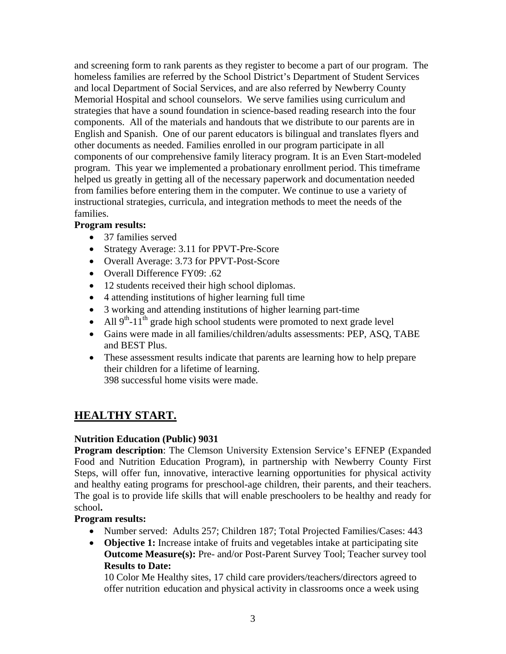and screening form to rank parents as they register to become a part of our program. The homeless families are referred by the School District's Department of Student Services and local Department of Social Services, and are also referred by Newberry County Memorial Hospital and school counselors. We serve families using curriculum and strategies that have a sound foundation in science-based reading research into the four components. All of the materials and handouts that we distribute to our parents are in English and Spanish. One of our parent educators is bilingual and translates flyers and other documents as needed. Families enrolled in our program participate in all components of our comprehensive family literacy program. It is an Even Start-modeled program. This year we implemented a probationary enrollment period. This timeframe helped us greatly in getting all of the necessary paperwork and documentation needed from families before entering them in the computer. We continue to use a variety of instructional strategies, curricula, and integration methods to meet the needs of the families.

#### **Program results:**

- 37 families served
- Strategy Average: 3.11 for PPVT-Pre-Score
- Overall Average: 3.73 for PPVT-Post-Score
- Overall Difference FY09: .62
- 12 students received their high school diplomas.
- 4 attending institutions of higher learning full time
- 3 working and attending institutions of higher learning part-time
- All  $9<sup>th</sup>$ -11<sup>th</sup> grade high school students were promoted to next grade level
- Gains were made in all families/children/adults assessments: PEP, ASQ, TABE and BEST Plus.
- These assessment results indicate that parents are learning how to help prepare their children for a lifetime of learning.

398 successful home visits were made.

## **HEALTHY START.**

#### **Nutrition Education (Public) 9031**

**Program description:** The Clemson University Extension Service's EFNEP (Expanded Food and Nutrition Education Program), in partnership with Newberry County First Steps, will offer fun, innovative, interactive learning opportunities for physical activity and healthy eating programs for preschool-age children, their parents, and their teachers. The goal is to provide life skills that will enable preschoolers to be healthy and ready for school**.** 

#### **Program results:**

- Number served: Adults 257; Children 187; Total Projected Families/Cases: 443
- **Objective 1:** Increase intake of fruits and vegetables intake at participating site  **Outcome Measure(s):** Pre- and/or Post-Parent Survey Tool; Teacher survey tool  **Results to Date:**

 10 Color Me Healthy sites, 17 child care providers/teachers/directors agreed to offer nutrition education and physical activity in classrooms once a week using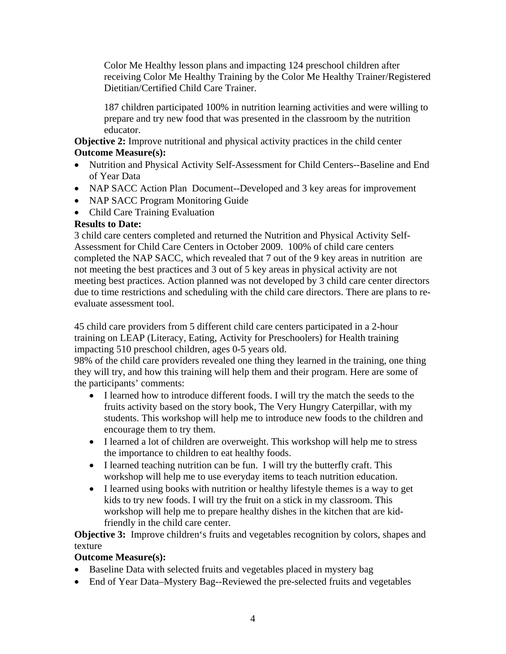Color Me Healthy lesson plans and impacting 124 preschool children after receiving Color Me Healthy Training by the Color Me Healthy Trainer/Registered Dietitian/Certified Child Care Trainer.

 187 children participated 100% in nutrition learning activities and were willing to prepare and try new food that was presented in the classroom by the nutrition educator.

**Objective 2:** Improve nutritional and physical activity practices in the child center **Outcome Measure(s):** 

- Nutrition and Physical Activity Self-Assessment for Child Centers--Baseline and End of Year Data
- NAP SACC Action Plan Document--Developed and 3 key areas for improvement
- NAP SACC Program Monitoring Guide
- Child Care Training Evaluation

#### **Results to Date:**

3 child care centers completed and returned the Nutrition and Physical Activity Self-Assessment for Child Care Centers in October 2009. 100% of child care centers completed the NAP SACC, which revealed that 7 out of the 9 key areas in nutrition are not meeting the best practices and 3 out of 5 key areas in physical activity are not meeting best practices. Action planned was not developed by 3 child care center directors due to time restrictions and scheduling with the child care directors. There are plans to reevaluate assessment tool.

45 child care providers from 5 different child care centers participated in a 2-hour training on LEAP (Literacy, Eating, Activity for Preschoolers) for Health training impacting 510 preschool children, ages 0-5 years old.

98% of the child care providers revealed one thing they learned in the training, one thing they will try, and how this training will help them and their program. Here are some of the participants' comments:

- I learned how to introduce different foods. I will try the match the seeds to the fruits activity based on the story book, The Very Hungry Caterpillar, with my students. This workshop will help me to introduce new foods to the children and encourage them to try them.
- I learned a lot of children are overweight. This workshop will help me to stress the importance to children to eat healthy foods.
- I learned teaching nutrition can be fun. I will try the butterfly craft. This workshop will help me to use everyday items to teach nutrition education.
- I learned using books with nutrition or healthy lifestyle themes is a way to get kids to try new foods. I will try the fruit on a stick in my classroom. This workshop will help me to prepare healthy dishes in the kitchen that are kidfriendly in the child care center.

**Objective 3:** Improve children's fruits and vegetables recognition by colors, shapes and texture

#### **Outcome Measure(s):**

- Baseline Data with selected fruits and vegetables placed in mystery bag
- End of Year Data–Mystery Bag--Reviewed the pre-selected fruits and vegetables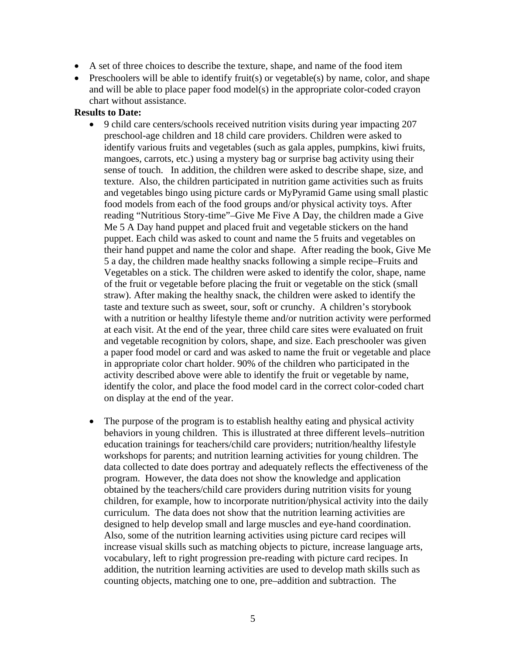- A set of three choices to describe the texture, shape, and name of the food item
- Preschoolers will be able to identify fruit(s) or vegetable(s) by name, color, and shape and will be able to place paper food model(s) in the appropriate color-coded crayon chart without assistance.

#### **Results to Date:**

- 9 child care centers/schools received nutrition visits during year impacting 207 preschool-age children and 18 child care providers. Children were asked to identify various fruits and vegetables (such as gala apples, pumpkins, kiwi fruits, mangoes, carrots, etc.) using a mystery bag or surprise bag activity using their sense of touch. In addition, the children were asked to describe shape, size, and texture. Also, the children participated in nutrition game activities such as fruits and vegetables bingo using picture cards or MyPyramid Game using small plastic food models from each of the food groups and/or physical activity toys. After reading "Nutritious Story-time"–Give Me Five A Day, the children made a Give Me 5 A Day hand puppet and placed fruit and vegetable stickers on the hand puppet. Each child was asked to count and name the 5 fruits and vegetables on their hand puppet and name the color and shape. After reading the book, Give Me 5 a day, the children made healthy snacks following a simple recipe–Fruits and Vegetables on a stick. The children were asked to identify the color, shape, name of the fruit or vegetable before placing the fruit or vegetable on the stick (small straw). After making the healthy snack, the children were asked to identify the taste and texture such as sweet, sour, soft or crunchy. A children's storybook with a nutrition or healthy lifestyle theme and/or nutrition activity were performed at each visit. At the end of the year, three child care sites were evaluated on fruit and vegetable recognition by colors, shape, and size. Each preschooler was given a paper food model or card and was asked to name the fruit or vegetable and place in appropriate color chart holder. 90% of the children who participated in the activity described above were able to identify the fruit or vegetable by name, identify the color, and place the food model card in the correct color-coded chart on display at the end of the year.
- The purpose of the program is to establish healthy eating and physical activity behaviors in young children. This is illustrated at three different levels–nutrition education trainings for teachers/child care providers; nutrition/healthy lifestyle workshops for parents; and nutrition learning activities for young children. The data collected to date does portray and adequately reflects the effectiveness of the program. However, the data does not show the knowledge and application obtained by the teachers/child care providers during nutrition visits for young children, for example, how to incorporate nutrition/physical activity into the daily curriculum. The data does not show that the nutrition learning activities are designed to help develop small and large muscles and eye-hand coordination. Also, some of the nutrition learning activities using picture card recipes will increase visual skills such as matching objects to picture, increase language arts, vocabulary, left to right progression pre-reading with picture card recipes. In addition, the nutrition learning activities are used to develop math skills such as counting objects, matching one to one, pre–addition and subtraction. The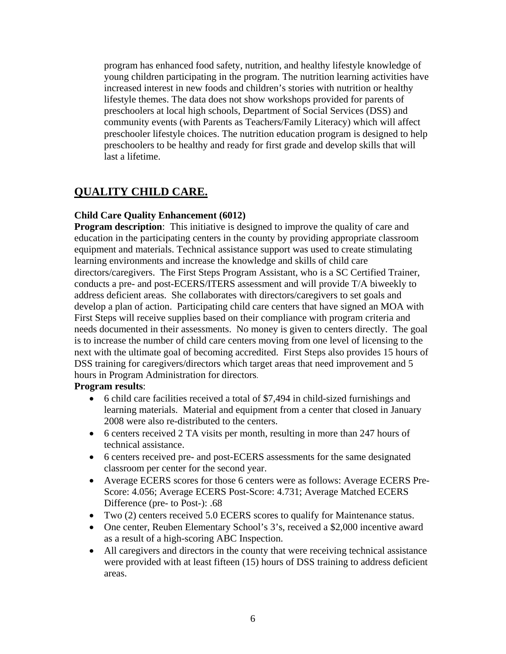program has enhanced food safety, nutrition, and healthy lifestyle knowledge of young children participating in the program. The nutrition learning activities have increased interest in new foods and children's stories with nutrition or healthy lifestyle themes. The data does not show workshops provided for parents of preschoolers at local high schools, Department of Social Services (DSS) and community events (with Parents as Teachers/Family Literacy) which will affect preschooler lifestyle choices. The nutrition education program is designed to help preschoolers to be healthy and ready for first grade and develop skills that will last a lifetime.

### **QUALITY CHILD CARE.**

#### **Child Care Quality Enhancement (6012)**

**Program description:** This initiative is designed to improve the quality of care and education in the participating centers in the county by providing appropriate classroom equipment and materials. Technical assistance support was used to create stimulating learning environments and increase the knowledge and skills of child care directors/caregivers. The First Steps Program Assistant, who is a SC Certified Trainer, conducts a pre- and post-ECERS/ITERS assessment and will provide T/A biweekly to address deficient areas. She collaborates with directors/caregivers to set goals and develop a plan of action. Participating child care centers that have signed an MOA with First Steps will receive supplies based on their compliance with program criteria and needs documented in their assessments. No money is given to centers directly. The goal is to increase the number of child care centers moving from one level of licensing to the next with the ultimate goal of becoming accredited. First Steps also provides 15 hours of DSS training for caregivers/directors which target areas that need improvement and 5 hours in Program Administration for directors.

#### **Program results**:

- 6 child care facilities received a total of \$7,494 in child-sized furnishings and learning materials. Material and equipment from a center that closed in January 2008 were also re-distributed to the centers.
- 6 centers received 2 TA visits per month, resulting in more than 247 hours of technical assistance.
- 6 centers received pre- and post-ECERS assessments for the same designated classroom per center for the second year.
- Average ECERS scores for those 6 centers were as follows: Average ECERS Pre-Score: 4.056; Average ECERS Post-Score: 4.731; Average Matched ECERS Difference (pre- to Post-): .68
- Two (2) centers received 5.0 ECERS scores to qualify for Maintenance status.
- One center, Reuben Elementary School's 3's, received a \$2,000 incentive award as a result of a high-scoring ABC Inspection.
- All caregivers and directors in the county that were receiving technical assistance were provided with at least fifteen (15) hours of DSS training to address deficient areas.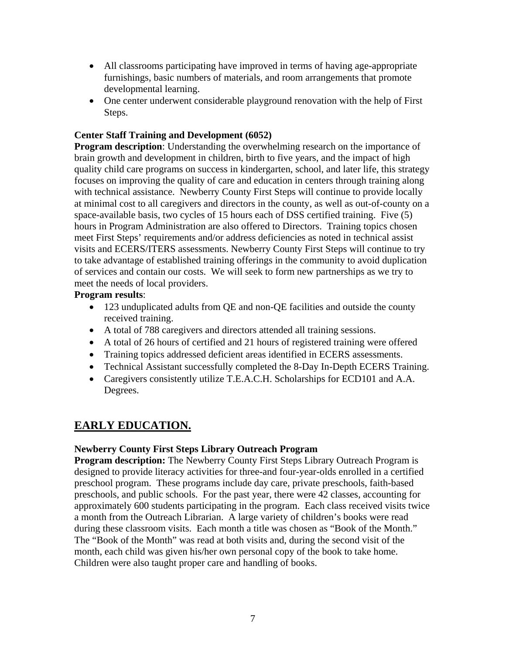- All classrooms participating have improved in terms of having age-appropriate furnishings, basic numbers of materials, and room arrangements that promote developmental learning.
- One center underwent considerable playground renovation with the help of First Steps.

#### **Center Staff Training and Development (6052)**

**Program description**: Understanding the overwhelming research on the importance of brain growth and development in children, birth to five years, and the impact of high quality child care programs on success in kindergarten, school, and later life, this strategy focuses on improving the quality of care and education in centers through training along with technical assistance. Newberry County First Steps will continue to provide locally at minimal cost to all caregivers and directors in the county, as well as out-of-county on a space-available basis, two cycles of 15 hours each of DSS certified training. Five (5) hours in Program Administration are also offered to Directors. Training topics chosen meet First Steps' requirements and/or address deficiencies as noted in technical assist visits and ECERS/ITERS assessments. Newberry County First Steps will continue to try to take advantage of established training offerings in the community to avoid duplication of services and contain our costs. We will seek to form new partnerships as we try to meet the needs of local providers.

#### **Program results**:

- 123 unduplicated adults from QE and non-QE facilities and outside the county received training.
- A total of 788 caregivers and directors attended all training sessions.
- A total of 26 hours of certified and 21 hours of registered training were offered
- Training topics addressed deficient areas identified in ECERS assessments.
- Technical Assistant successfully completed the 8-Day In-Depth ECERS Training.
- Caregivers consistently utilize T.E.A.C.H. Scholarships for ECD101 and A.A. Degrees.

## **EARLY EDUCATION.**

#### **Newberry County First Steps Library Outreach Program**

**Program description:** The Newberry County First Steps Library Outreach Program is designed to provide literacy activities for three-and four-year-olds enrolled in a certified preschool program. These programs include day care, private preschools, faith-based preschools, and public schools. For the past year, there were 42 classes, accounting for approximately 600 students participating in the program. Each class received visits twice a month from the Outreach Librarian. A large variety of children's books were read during these classroom visits. Each month a title was chosen as "Book of the Month." The "Book of the Month" was read at both visits and, during the second visit of the month, each child was given his/her own personal copy of the book to take home. Children were also taught proper care and handling of books.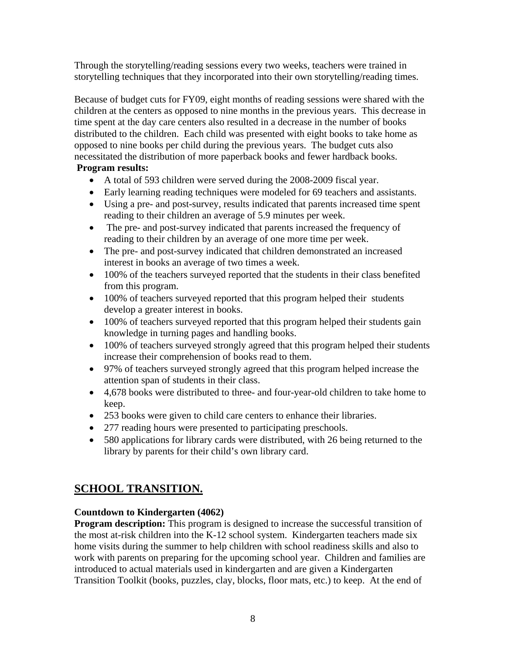Through the storytelling/reading sessions every two weeks, teachers were trained in storytelling techniques that they incorporated into their own storytelling/reading times.

Because of budget cuts for FY09, eight months of reading sessions were shared with the children at the centers as opposed to nine months in the previous years. This decrease in time spent at the day care centers also resulted in a decrease in the number of books distributed to the children. Each child was presented with eight books to take home as opposed to nine books per child during the previous years. The budget cuts also necessitated the distribution of more paperback books and fewer hardback books. **Program results:** 

- A total of 593 children were served during the 2008-2009 fiscal year.
- Early learning reading techniques were modeled for 69 teachers and assistants.
- Using a pre- and post-survey, results indicated that parents increased time spent reading to their children an average of 5.9 minutes per week.
- The pre- and post-survey indicated that parents increased the frequency of reading to their children by an average of one more time per week.
- The pre- and post-survey indicated that children demonstrated an increased interest in books an average of two times a week.
- 100% of the teachers surveyed reported that the students in their class benefited from this program.
- 100% of teachers surveyed reported that this program helped their students develop a greater interest in books.
- 100% of teachers surveyed reported that this program helped their students gain knowledge in turning pages and handling books.
- 100% of teachers surveyed strongly agreed that this program helped their students increase their comprehension of books read to them.
- 97% of teachers surveyed strongly agreed that this program helped increase the attention span of students in their class.
- 4,678 books were distributed to three- and four-year-old children to take home to keep.
- 253 books were given to child care centers to enhance their libraries.
- 277 reading hours were presented to participating preschools.
- 580 applications for library cards were distributed, with 26 being returned to the library by parents for their child's own library card.

#### **SCHOOL TRANSITION.**

#### **Countdown to Kindergarten (4062)**

**Program description:** This program is designed to increase the successful transition of the most at-risk children into the K-12 school system. Kindergarten teachers made six home visits during the summer to help children with school readiness skills and also to work with parents on preparing for the upcoming school year. Children and families are introduced to actual materials used in kindergarten and are given a Kindergarten Transition Toolkit (books, puzzles, clay, blocks, floor mats, etc.) to keep. At the end of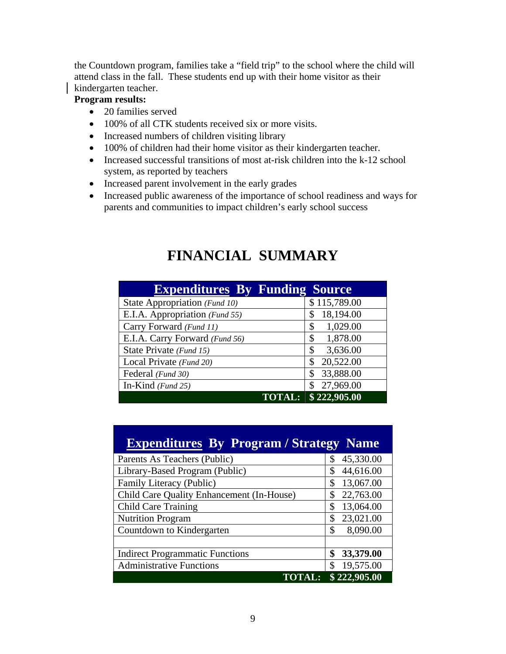the Countdown program, families take a "field trip" to the school where the child will attend class in the fall. These students end up with their home visitor as their kindergarten teacher.

#### **Program results:**

- 20 families served
- 100% of all CTK students received six or more visits.
- Increased numbers of children visiting library
- 100% of children had their home visitor as their kindergarten teacher.
- Increased successful transitions of most at-risk children into the k-12 school system, as reported by teachers
- Increased parent involvement in the early grades
- Increased public awareness of the importance of school readiness and ways for parents and communities to impact children's early school success

| <b>Expenditures By Funding Source</b> |                 |
|---------------------------------------|-----------------|
| State Appropriation (Fund 10)         | \$115,789.00    |
| E.I.A. Appropriation (Fund 55)        | 18,194.00<br>\$ |
| Carry Forward (Fund 11)               | 1,029.00<br>\$  |
| E.I.A. Carry Forward (Fund 56)        | 1,878.00<br>\$  |
| State Private (Fund 15)               | 3,636.00<br>\$  |
| Local Private (Fund 20)               | 20,522.00<br>\$ |
| Federal (Fund 30)                     | 33,888.00<br>\$ |
| In-Kind $(Fund 25)$                   | 27,969.00<br>\$ |
| <b>TOTAL:</b>                         | \$222,905.00    |

# **FINANCIAL SUMMARY**

| <b>Expenditures By Program / Strategy Name</b> |                 |
|------------------------------------------------|-----------------|
| Parents As Teachers (Public)                   | 45,330.00<br>\$ |
| Library-Based Program (Public)                 | 44,616.00<br>\$ |
| Family Literacy (Public)                       | 13,067.00<br>\$ |
| Child Care Quality Enhancement (In-House)      | 22,763.00<br>\$ |
| <b>Child Care Training</b>                     | 13,064.00<br>\$ |
| <b>Nutrition Program</b>                       | 23,021.00<br>\$ |
| Countdown to Kindergarten                      | 8,090.00<br>\$  |
|                                                |                 |
| <b>Indirect Programmatic Functions</b>         | 33,379.00<br>\$ |
| <b>Administrative Functions</b>                | 19,575.00<br>\$ |
| <b>TOTAL:</b>                                  | \$222,905.00    |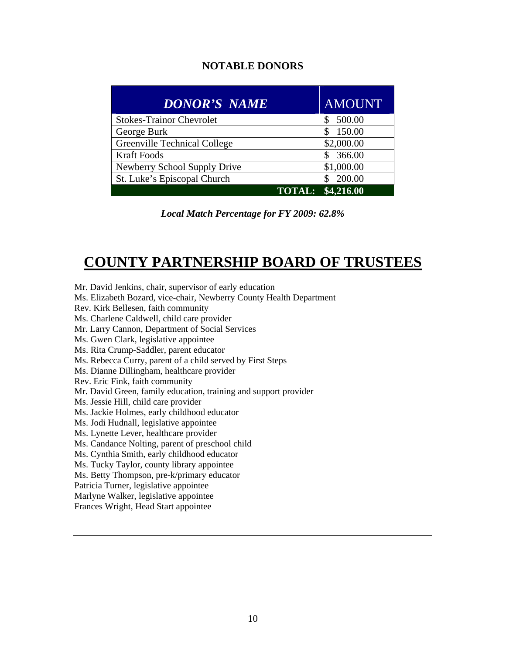#### **NOTABLE DONORS**

| <b>DONOR'S NAME</b>                 | <b>AMOUNT</b>     |
|-------------------------------------|-------------------|
| <b>Stokes-Trainor Chevrolet</b>     | 500.00            |
| George Burk                         | 150.00            |
| <b>Greenville Technical College</b> | \$2,000.00        |
| <b>Kraft Foods</b>                  | 366.00            |
| Newberry School Supply Drive        | \$1,000.00        |
| St. Luke's Episcopal Church         | 200.00            |
|                                     | TOTAL: \$4,216.00 |

*Local Match Percentage for FY 2009: 62.8%* 

# **COUNTY PARTNERSHIP BOARD OF TRUSTEES**

Rev. Kirk Bellesen, faith community Ms. Charlene Caldwell, child care provider Mr. Larry Cannon, Department of Social Services Ms. Gwen Clark, legislative appointee Ms. Rita Crump-Saddler, parent educator Ms. Rebecca Curry, parent of a child served by First Steps Ms. Dianne Dillingham, healthcare provider Rev. Eric Fink, faith community Mr. David Green, family education, training and support provider Ms. Jessie Hill, child care provider Ms. Jackie Holmes, early childhood educator Ms. Jodi Hudnall, legislative appointee Ms. Lynette Lever, healthcare provider Ms. Candance Nolting, parent of preschool child Ms. Cynthia Smith, early childhood educator Ms. Tucky Taylor, county library appointee Ms. Betty Thompson, pre-k/primary educator Patricia Turner, legislative appointee Marlyne Walker, legislative appointee Frances Wright, Head Start appointee

Mr. David Jenkins, chair, supervisor of early education

Ms. Elizabeth Bozard, vice-chair, Newberry County Health Department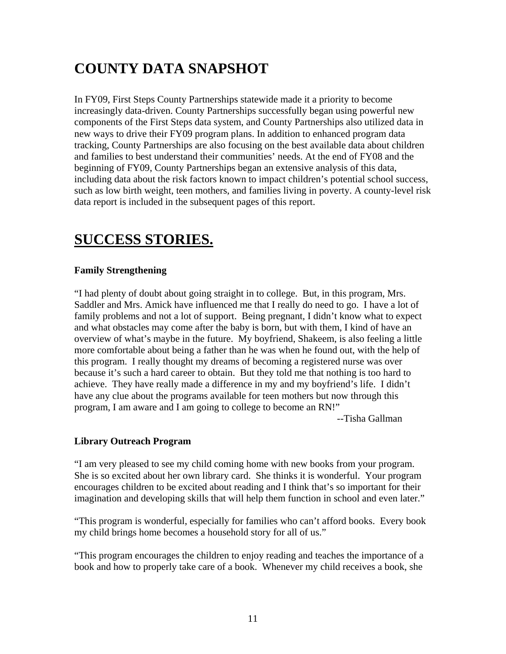# **COUNTY DATA SNAPSHOT**

In FY09, First Steps County Partnerships statewide made it a priority to become increasingly data-driven. County Partnerships successfully began using powerful new components of the First Steps data system, and County Partnerships also utilized data in new ways to drive their FY09 program plans. In addition to enhanced program data tracking, County Partnerships are also focusing on the best available data about children and families to best understand their communities' needs. At the end of FY08 and the beginning of FY09, County Partnerships began an extensive analysis of this data, including data about the risk factors known to impact children's potential school success, such as low birth weight, teen mothers, and families living in poverty. A county-level risk data report is included in the subsequent pages of this report.

# **SUCCESS STORIES.**

#### **Family Strengthening**

"I had plenty of doubt about going straight in to college. But, in this program, Mrs. Saddler and Mrs. Amick have influenced me that I really do need to go. I have a lot of family problems and not a lot of support. Being pregnant, I didn't know what to expect and what obstacles may come after the baby is born, but with them, I kind of have an overview of what's maybe in the future. My boyfriend, Shakeem, is also feeling a little more comfortable about being a father than he was when he found out, with the help of this program. I really thought my dreams of becoming a registered nurse was over because it's such a hard career to obtain. But they told me that nothing is too hard to achieve. They have really made a difference in my and my boyfriend's life. I didn't have any clue about the programs available for teen mothers but now through this program, I am aware and I am going to college to become an RN!"

--Tisha Gallman

#### **Library Outreach Program**

"I am very pleased to see my child coming home with new books from your program. She is so excited about her own library card. She thinks it is wonderful. Your program encourages children to be excited about reading and I think that's so important for their imagination and developing skills that will help them function in school and even later."

"This program is wonderful, especially for families who can't afford books. Every book my child brings home becomes a household story for all of us."

"This program encourages the children to enjoy reading and teaches the importance of a book and how to properly take care of a book. Whenever my child receives a book, she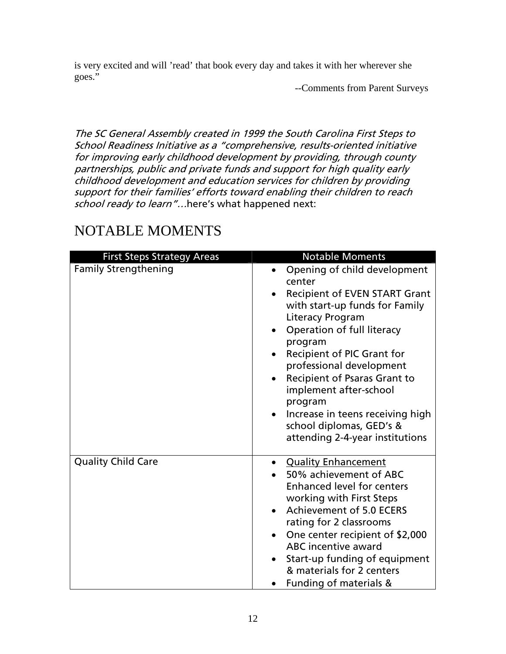is very excited and will 'read' that book every day and takes it with her wherever she goes."

--Comments from Parent Surveys

The SC General Assembly created in 1999 the South Carolina First Steps to School Readiness Initiative as a "comprehensive, results-oriented initiative for improving early childhood development by providing, through county partnerships, public and private funds and support for high quality early childhood development and education services for children by providing support for their families' efforts toward enabling their children to reach school ready to learn"...here's what happened next:

| <b>First Steps Strategy Areas</b> | <b>Notable Moments</b>                                                                                                                                                                                                                                                                                                                                                                                                                    |
|-----------------------------------|-------------------------------------------------------------------------------------------------------------------------------------------------------------------------------------------------------------------------------------------------------------------------------------------------------------------------------------------------------------------------------------------------------------------------------------------|
| <b>Family Strengthening</b>       | Opening of child development<br>center<br><b>Recipient of EVEN START Grant</b><br>with start-up funds for Family<br>Literacy Program<br>Operation of full literacy<br>program<br>Recipient of PIC Grant for<br>professional development<br>Recipient of Psaras Grant to<br>$\bullet$<br>implement after-school<br>program<br>Increase in teens receiving high<br>$\bullet$<br>school diplomas, GED's &<br>attending 2-4-year institutions |
| <b>Quality Child Care</b>         | <b>Quality Enhancement</b><br>$\bullet$<br>50% achievement of ABC<br><b>Enhanced level for centers</b><br>working with First Steps<br><b>Achievement of 5.0 ECERS</b><br>$\bullet$<br>rating for 2 classrooms<br>One center recipient of \$2,000<br><b>ABC</b> incentive award<br>Start-up funding of equipment<br>& materials for 2 centers<br>Funding of materials &                                                                    |

# NOTABLE MOMENTS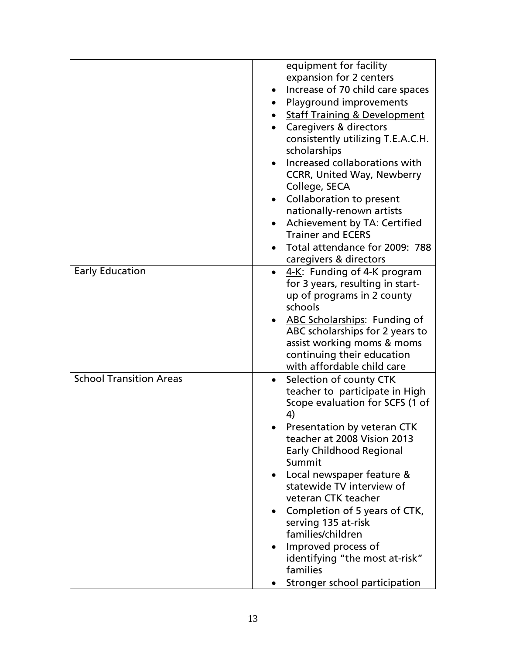|                                | equipment for facility                        |
|--------------------------------|-----------------------------------------------|
|                                | expansion for 2 centers                       |
|                                | Increase of 70 child care spaces<br>$\bullet$ |
|                                | Playground improvements<br>$\bullet$          |
|                                | <b>Staff Training &amp; Development</b>       |
|                                | Caregivers & directors                        |
|                                | consistently utilizing T.E.A.C.H.             |
|                                | scholarships                                  |
|                                | Increased collaborations with                 |
|                                | <b>CCRR, United Way, Newberry</b>             |
|                                | College, SECA                                 |
|                                | Collaboration to present<br>$\bullet$         |
|                                | nationally-renown artists                     |
|                                | Achievement by TA: Certified<br>$\bullet$     |
|                                | <b>Trainer and ECERS</b>                      |
|                                | Total attendance for 2009: 788<br>$\bullet$   |
|                                | caregivers & directors                        |
| <b>Early Education</b>         | 4-K: Funding of 4-K program<br>$\bullet$      |
|                                | for 3 years, resulting in start-              |
|                                | up of programs in 2 county                    |
|                                | schools                                       |
|                                | ABC Scholarships: Funding of                  |
|                                | ABC scholarships for 2 years to               |
|                                | assist working moms & moms                    |
|                                | continuing their education                    |
|                                | with affordable child care                    |
| <b>School Transition Areas</b> | Selection of county CTK                       |
|                                | teacher to participate in High                |
|                                | Scope evaluation for SCFS (1 of               |
|                                | 4)                                            |
|                                | Presentation by veteran CTK                   |
|                                | teacher at 2008 Vision 2013                   |
|                                | <b>Early Childhood Regional</b>               |
|                                | Summit                                        |
|                                | Local newspaper feature &                     |
|                                | statewide TV interview of                     |
|                                | veteran CTK teacher                           |
|                                | Completion of 5 years of CTK,<br>$\bullet$    |
|                                | serving 135 at-risk                           |
|                                | families/children                             |
|                                | Improved process of                           |
|                                | identifying "the most at-risk"                |
|                                | families                                      |
|                                | Stronger school participation                 |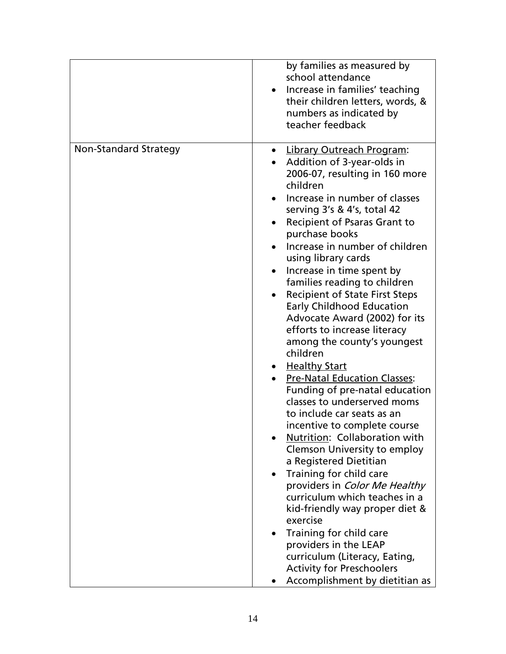|                              | by families as measured by<br>school attendance<br>Increase in families' teaching<br>their children letters, words, &<br>numbers as indicated by<br>teacher feedback                                                                                                                                                                                                                                                                                                                                                                                                                                                                                                                                                                                                                                                                                                                                                                                                                                                                                                                                                                                  |
|------------------------------|-------------------------------------------------------------------------------------------------------------------------------------------------------------------------------------------------------------------------------------------------------------------------------------------------------------------------------------------------------------------------------------------------------------------------------------------------------------------------------------------------------------------------------------------------------------------------------------------------------------------------------------------------------------------------------------------------------------------------------------------------------------------------------------------------------------------------------------------------------------------------------------------------------------------------------------------------------------------------------------------------------------------------------------------------------------------------------------------------------------------------------------------------------|
| <b>Non-Standard Strategy</b> | <b>Library Outreach Program:</b><br>Addition of 3-year-olds in<br>2006-07, resulting in 160 more<br>children<br>Increase in number of classes<br>serving 3's & 4's, total 42<br><b>Recipient of Psaras Grant to</b><br>purchase books<br>Increase in number of children<br>using library cards<br>Increase in time spent by<br>families reading to children<br><b>Recipient of State First Steps</b><br><b>Early Childhood Education</b><br>Advocate Award (2002) for its<br>efforts to increase literacy<br>among the county's youngest<br>children<br>• Healthy Start<br><b>Pre-Natal Education Classes:</b><br>Funding of pre-natal education<br>classes to underserved moms<br>to include car seats as an<br>incentive to complete course<br>Nutrition: Collaboration with<br><b>Clemson University to employ</b><br>a Registered Dietitian<br>Training for child care<br>providers in Color Me Healthy<br>curriculum which teaches in a<br>kid-friendly way proper diet &<br>exercise<br>Training for child care<br>providers in the LEAP<br>curriculum (Literacy, Eating,<br><b>Activity for Preschoolers</b><br>Accomplishment by dietitian as |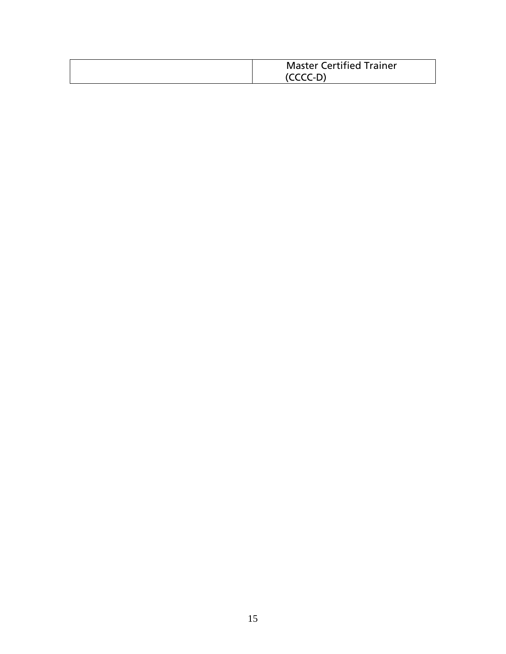| <b>Master Certified Trainer</b> |
|---------------------------------|
| (CCCC-D)                        |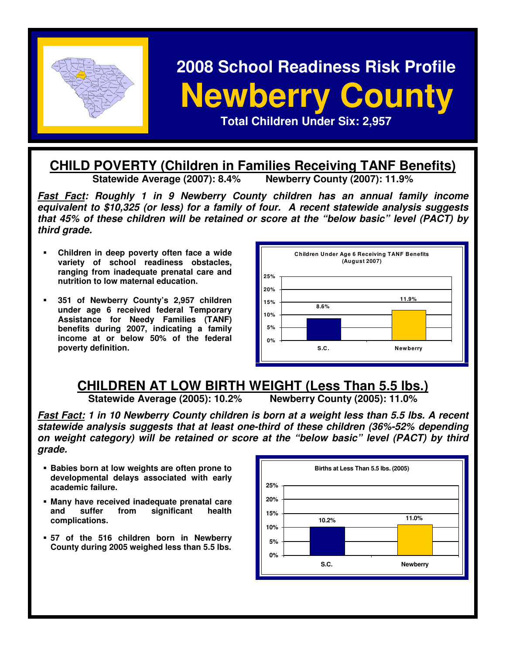

# **2008 School Readiness Risk Profile Rewberry County I <br>
Total Children Under Six: 2,957**

### **CHILD POVERTY (Children in Families Receiving TANF Benefits)**<br>Statewide Average (2007): 8.4% Newberry County (2007): 11.9% **Statewide Average (2007): 8.4%**

**Fast Fact: Roughly 1 in 9 Newberry County children has an annual family income equivalent to \$10,325 (or less) for a family of four. A recent statewide analysis suggests that 45% of these children will be retained or score at the "below basic" level (PACT) by third grade.** 

- **Children in deep poverty often face a wide variety of school readiness obstacles, ranging from inadequate prenatal care and nutrition to low maternal education.**
- **351 of Newberry County's 2,957 children under age 6 received federal Temporary Assistance for Needy Families (TANF) benefits during 2007, indicating a family income at or below 50% of the federal poverty definition.**



# **CHILDREN AT LOW BIRTH WEIGHT (Less Than 5.5 lbs.)**<br>Statewide Average (2005): 10.2% Newberry County (2005): 11.0%

**Statewide Average (2005): 10.2%** 

**Fast Fact: 1 in 10 Newberry County children is born at a weight less than 5.5 lbs. A recent statewide analysis suggests that at least one-third of these children (36%-52% depending on weight category) will be retained or score at the "below basic" level (PACT) by third grade.** 

- **Babies born at low weights are often prone to developmental delays associated with early academic failure.**
- **Many have received inadequate prenatal care and suffer from significant health complications.**
- **57 of the 516 children born in Newberry County during 2005 weighed less than 5.5 lbs.**